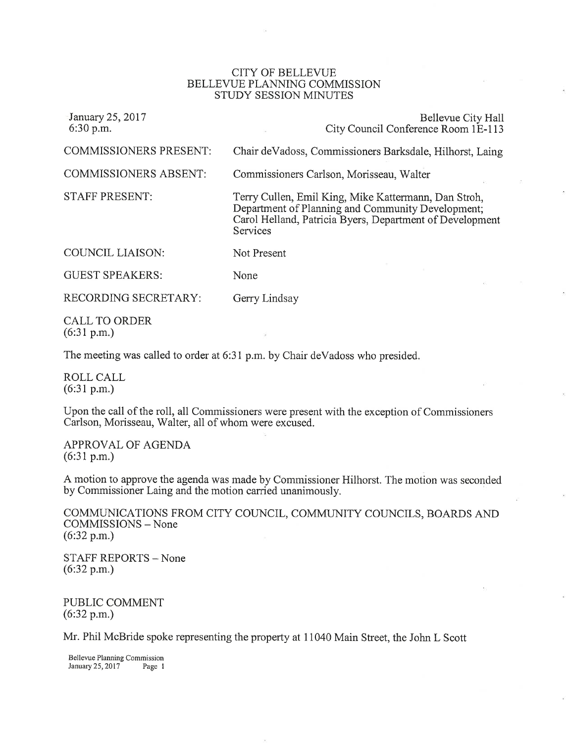## CITY OF BELLEVUE BELLEVUE PLANNING COMMISSION STUDY SESSION MINUTES

| January 25, 2017<br>$6:30$ p.m. | Bellevue City Hall<br>City Council Conference Room 1E-113                                                                                                                         |
|---------------------------------|-----------------------------------------------------------------------------------------------------------------------------------------------------------------------------------|
| <b>COMMISSIONERS PRESENT:</b>   | Chair deVadoss, Commissioners Barksdale, Hilhorst, Laing                                                                                                                          |
| <b>COMMISSIONERS ABSENT:</b>    | Commissioners Carlson, Morisseau, Walter                                                                                                                                          |
| <b>STAFF PRESENT:</b>           | Terry Cullen, Emil King, Mike Kattermann, Dan Stroh,<br>Department of Planning and Community Development;<br>Carol Helland, Patricia Byers, Department of Development<br>Services |
| <b>COUNCIL LIAISON:</b>         | Not Present                                                                                                                                                                       |
| <b>GUEST SPEAKERS:</b>          | None                                                                                                                                                                              |
| RECORDING SECRETARY:            | Gerry Lindsay                                                                                                                                                                     |
|                                 |                                                                                                                                                                                   |

CALL TO ORDER (6:31 p.m.)

The meeting was called to order at 6:31 p.m. by Chair deVadoss who presided.

ROLL CALL  $(6:31 p.m.)$ 

Upon the call of the roll, all Commissioners were present with the exception of Commissioners Carlson, Morisseau, Walter, all of whom were excused.

APPROVAL OF AGENDA (6:31 p.m.)

A motion to approve the agenda was made by Commissioner Hilhorst. The motion was seconded by Commissioner Laing and the motion carried unanimously.

COMMUNICATIONS FROM CITY COUNCIL, COMMUNITY COUNCILS, BOARDS AND COMMISSIONS - None  $(6:32 p.m.)$ 

STAFF REPORTS - None (6:32 p.m.)

PUBLIC COMMENT  $(6:32 p.m.)$ 

Mr. Phil McBride spoke representing the property at 11040 Main Street, the John L Scott

Bellewe Planning Commission January25,20l7 Page I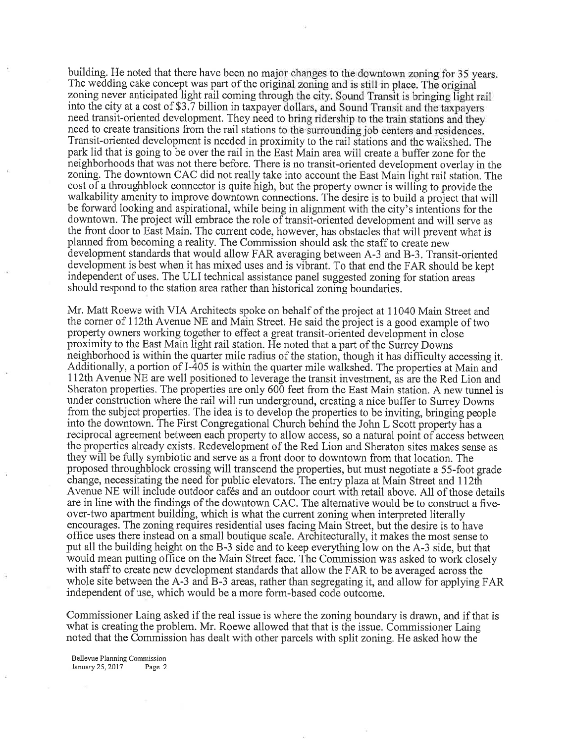building. He noted that there have been no major changes to the downtown zoning for 35 years. The wedding cake concept was part of the original zoning and is still in place. The original zoning never anticipated light rail coming through the city. Sound Transit is bringing light rail into the city at a cost of \$3.7 billion in taxpayer dollars, and Sound Transit and the taxpayers need transit-oriented development. They need to bring ridership to the train stations and they need to create transitions from the rail stations to the surrounding job centers and residences. Transit-oriented development is needed in proximity to the rail stations and the walkshed. The park lid that is going to be over the rail in the East Main area will create a buffer zone for the neighborhoods that was not there before. There is no transit-oriented development overlay in the zoning. The downtown CAC did not really take into account the East Main light rail station. The cost of a throughblock connector is quite high, but the property owner is willing to provide the walkability amenity to improve downtown connections. The desire is to build a project that will be forward looking and aspirational, while being in alignment with the city's intentions for the downtown. The project will embrace the role of transit-oriented development and will serve as the front door to East Main. The current code, however, has obstacles that will prevent what is planned from becoming a reality. The Commission should ask the staff to create new development standards that would allow FAR averaging between A-3 and B-3. Transit-oriented development is best when it has mixed uses and is vibrant. To that end the FAR should be kept independent of uses. The ULI technical assistance panel suggested zoning for station areas should respond to the station area rather than historical zoning boundaries.

Mr. Matt Roewe with VIA Architects spoke on behalf of the project at 11040 Main Street and the corner of 112th Avenue NE and Main Street. He said the project is a good example of two property owners working together to effect a great transit-oriented development in close proximity to the East Main light rail station. He noted that a part of the Surrey Downs neighborhood is within the quarter mile radius of the station, though it has difficulty accessing it. Additionally, a portion of I-405 is within the quarter mile walkshed. The properties at Main and 112th Avenue NE are well positioned to leverage the transit investment, as are the Red Lion and Sheraton properties. The properties are only 600 feet from the East Main station. A new tunnel is under construction where the rail will run underground, creating a nice buffer to Surrey Downs from the subject properties. The idea is to develop the properties to be inviting, bringing people into the downtown. The First Congregational Church behind the John L Scott property has areciprocal agreement between each property to allow access, so a natural point of access between the properties already exists. Redevelopment of the Red Lion and Sheraton sites makes sense as they will be fully symbiotic and serve as a front door to downtown from that location. The proposed throughblock crossing will transcend the properties, but must negotiate a 55-foot grade change, necessitating the need for public elevators. The entry plaza at Main Street and 112th Avenue NE will include outdoor cafés and an outdoor court with retail above. All of those details are in line with the findings of the downtown CAC. The altemative would be to construct a fiveover-two apartment building, which is what the current zoningwhen interpreted literally encourages. The zoning requires residential uses facing Main Street, but the desire is to have office uses there instead on a small boutique scale. Architecturally, it makes the most sense to put all the building height on the B-3 side and to keep everything low on the A-3 side, but that would mean putting office on the Main Street face. The Commission was asked to work closely with staff to create new development standards that allow the FAR to be averaged across the whole site between the A-3 and B-3 areas, rather than segregating it, and allow for applying FAR independent of use, which would be a more form-based code outcome.

Commissioner Laing asked if the real issue is where the zoning boundary is drawn, and if that is what is creating the problem. Mr. Roewe allowed that that is the issue. Commissioner Laing noted that the Commission has dealt with other parcels with split zoning. He asked how the

Bellewe Planning Commission January  $25,2017$  Page 2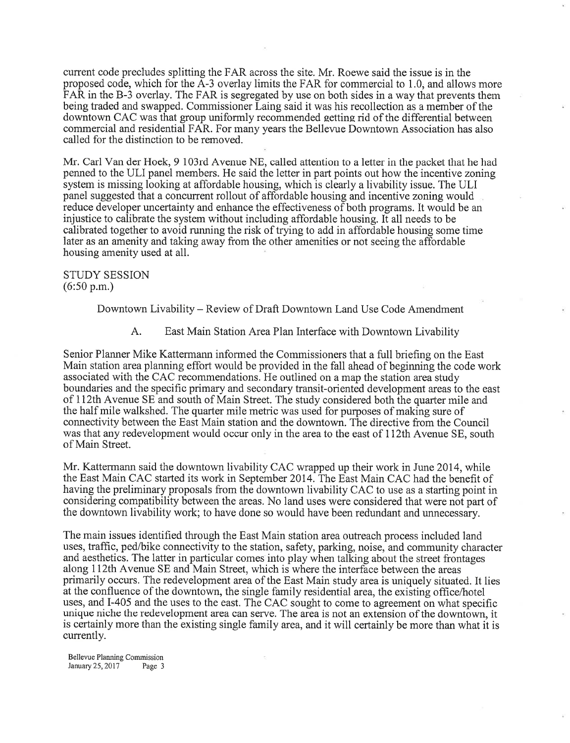current code precludes splitting the FAR across the site. Mr. Roewe said the issue is in the proposed code, which for the A-3 overlay limits the FAR for commercial to 1.0; and allows more FAR in the B-3 overlay. The FAR is segregated by use on both sides in a way that prevents them being traded and swapped. Commissioner Laing said it was his recollection as a member of the downtown CAC was that group uniformly recommended eettins rid of the differential between commercial and residential FAR. For many years the Bellevue Downtown Association has also called for the distinction to be removed.

Mr. Carl Van der Hoek, 9 103rd Avenue NE, called attention to a letter in the packet that he had penned to the ULI panel members. He said the letter in part points out how the incentive zoning system is missing looking at affordable housing, which is clearly a livability issue. The ULI panel suggested that a concurrent rollout of affordable housing and incentive zoning would reduce developer uncertainty and enhance the effectiveness of both programs. It would be an injustice to calibrate the system without including affordable housing. It all needs to be calibrated together to avoid running the risk of trying to add in affordable housing some time later as an amenity and taking away from the other amenities or not seeing the affordable housing amenity used at all.

STUDY SESSION (6:50 p.m.)

Downtown Livability - Review of Draft Downtown Land Use Code Amendment

A. East Main Station Area Plan Interface with Downtown Livability

Senior Planner Mike Katterrnann informed the Commissioners that a full briefing on the East Main station area planning effort would be provided in the fall ahead of beginning the code work associated with the CAC recommendations. He outlined on a map the station area study boundaries and the specific primary and secondary transit-oriented development areas to the east of 112th Avenue SE and south of Main Street. The study considered both the quarter mile and the half mile walkshed. The quarter mile metric was used for purposes of making sure of connectivity between the East Main station and the downtown. The directive from the Council was that any redevelopment would occur only in the area to the east of 112th Avenue SE, south of Main Street.

Mr. Kattermann said the downtown livability CAC wrapped up their work in June20I4, while the East Main CAC started its work in September 2074. The East Main CAC had the benefit of having the preliminary proposals from the downtown livability CAC to use as a starting point in considering compatibility between the areas. No land uses were considered that were not part of the downtown livability work; to have done so would have been redundant and unnecessary.

The main issues identified through the East Main station area outreach process included land uses, traffic, ped/bike connectivity to the station, safety, parking, noise, and community character and aesthetics. The latter in particular comes into play when talking about the street frontages along 112th Avenue SE and Main Street, which is where the interface between the areas primarily occurs. The redevelopment area of the East Main study area is uniquely situated. It lies at the confluence of the downtown, the single family residential area, the existing office/hotel uses, and I-405 and the uses to the east. The CAC sought to come to agreement on what specific unique niche the redevelopment area can serve. The area is not an extension of the downtown, it is certainly more than the existing single family area, and it will certainly be more than what it is currently.

Bellevue Planning Comrnission January  $25,2017$  Page 3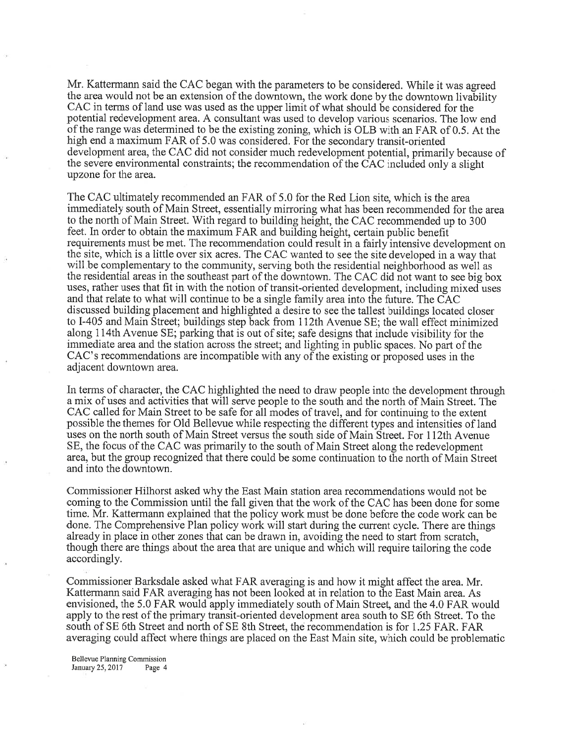Mr. Kattermann said the CAC began with the parameters to be considered. While it was agreed the area would not be an extension of the downtown, the work done by the downtown livability CAC in terms of land use was used as the upper limit of what should be considered for the potential redevelopment area. A consultant was used to develop various scenarios. The low end of the range was determined to be the existing zoning, which is OLB with an FAR of 0.5. At the high end a maximum FAR of 5.0 was considered. For the secondary transit-oriented development area, the CAC did not consider much redevelopment potential, primarily because of the severe environmental constraints; the recommendation of the CAC included only a slight upzone for the area.

The CAC ultimately recommended an FAR of 5.0 for the Red Lion site, which is the area immediately south of Main Street, essentially mirroring what has been recommended for the area to the north of Main Street. With regard to building height, the CAC recommended up to <sup>300</sup> feet. In order to obtain the maximum FAR and building height, certain public benefit requirements must be met. The recommendation could result in a fairly intensive development on the site, which is a little over six acres. The CAC wanted to see the site developed in a way that will be complementary to the community, serving both the residential neighborhood as well as the residential areas in the southeast part of the downtown. The CAC did not want to see big box uses, rather uses that fit in with the notion of transit-oriented development, including mixed uses and that relate to what will continue to be a single family area into the future. The CAC discussed building placement and highlighted a desire to see the tallest buildings located closer to I-405 and Main Street; buildings step back from 112th Avenue SE; the wall effect minimized along lI4th Avenue SE; parking that is out of site; safe designs that include visibility for the immediate area and the station across the street; and lighting in public spaces. No part of the CAC's recommendations are incompatible with any of the existing or proposed uses in the adjacent downtown area.

In terms of character, the CAC highlighted the need to draw people into the development through <sup>a</sup>mix of uses and activities that will serve people to the south and the north of Main Street. The CAC called for Main Street to be safe for all modes of travel, and for continuing to the extent possible the themes for Old Bellewe while respecting the different types and intensities of land uses on the north south of Main Street versus the south side of Main Street. For 112th Avenue SE, the focus of the CAC was primarily to the south of Main Street along the redevelopment area, but the group recognized that there could be some continuation to the north of Main Street and into the downtown.

Commissioner Hilhorst asked why the East Main station area recommendations would not be coming to the Commission until the fall given that the work of the CAC has been done for some time. Mr. Kattermann explained that the policy work must be done before the code work can be done. The Comprehensive Plan policy work will start during the current cycle. There are things already in place in other zones that can be drawn in, avoiding the need to start from scratch, though there are things about the area that are unique and which will require tailoring the code accordingly.

Commissioner Barksdale asked what FAR averaging is and how it might affect the area. Mr. Kattermann said FAR averaging has not been looked at in relation to the East Main area. As envisioned, the 5.0 FAR would apply immediately south of Main Street, and the 4.0 FAR would apply to the rest of the primary transit-oriented development area south to SE 6th Street. To the south of SE 6th Street and north of SE 8th Street, the recommendation is for 1.25 FAR. FAR averaging could affect where things are placed on the East Main site, which could be problematic

Bellevue Planning Commission Jantary25,20l7 Page 4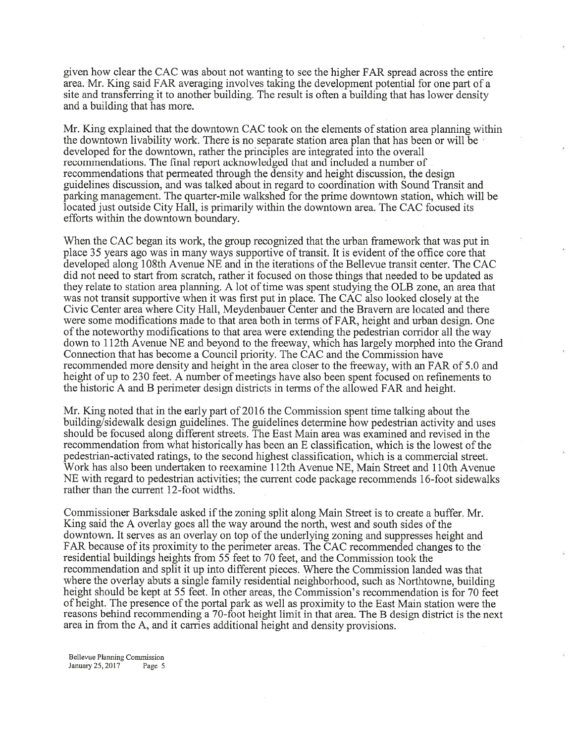given how clear the CAC was about not wanting to see the higher FAR spread across the entire area. Mr. King said FAR averaging involves taking the development potential for one part of <sup>a</sup> site and transferring it to another building. The result is often a building that has lower density and a building that has more.

Mr. King explained that the downtown CAC took on the elements of station area planning within the downtown livability work. There is no separate station area plan that has been or will be developed for the downtown, rather the principles are integrated into the overall recommendations. The final report acknowledged that and included a number of recommendations that permeated through the density and height discussion, the design guidelines discussion, and was talked about in regard to coordination with Sound Transit and parking management. The quarter-mile walkshed for the prime downtown station, which will be located just outside City Hall, is primarily within the downtown area. The CAC focused its efforts within the downtown boundary.

When the CAC began its work, the group recognized that the urban framework that was put in place 35 years ago was in many ways supportive of transit. It is evident of the office core that developed along 108th Avenue NE and in the iterations of the Bellewe transit center. The CAC did not need to start from scratch, rather it focused on those things that needed to be updated as they relate to station area planning. A lot of time was spent studying the OLB zone, an areathat was not transit supportive when it was first put in place. The CAC also looked closely at the Civic Center area where City Hall, Meydenbauer Center and the Bravern are located and there were some modifications made to that area both in terms of FAR, height and urban design. One of the noteworthy modifications to that area were extending the pedestrian corridor all the way down to II2th Avenue NE and beyond to the freeway, which has largely morphed into the Grand Connection that has become a Council priority. The CAC and the Commission have recommended more density and height in the area closer to the freeway, with an FAR of 5.0 and height of up to 230 feet. A number of meetings have also been spent focused on refinements to the historic A and B perimeter design districts in terms of the allowed FAR and height.

Mr. King noted that in the early part of 2016 the Commission spent time talking about the building/sidewalk design guidelines. The guidelines determine how pedestrian activity and uses should be focused along different streets. The East Main area was examined and revised in the recommendation from what historically has been an E classification, which is the lowest of the pedestrian-activated ratings, to the second highest classification, which is a commercial street. Work has also been undertaken to reexamine ll2th Avenue NE, Main Street and 11Oth Avenue NE with regard to pedestrian activities; the current code package recommends 16-foot sidewalks rather than the current l2-foot widths.

Commissioner Barksdale asked if the zoning split along Main Street is to create a buffer. Mr. King said the A overlay goes all the way around the north, west and south sides of the downtown. It serves as an overlay on top of the underlying zoning and suppresses height and FAR because of its proximity to the perimeter areas. The CAC recommended changes to the residential buildings heights from 5f feet to 70 feet, and the Commission took the recommendation and split it up into different pieces. Where the Commission landed was that where the overlay abuts a single family residential neighborhood, such as Northtowne, building height should be kept at 55 feet. In other areas, the Commission's recommendation is for 70 feet of height. The presence of the portal park as well as proximity to the East Main station were the reasons behind recommending a 7O-foot height limit in that area. The B design district is the next area in from the A, and it carries additional height and density provisions.

Bellevue Planning Commission January25,20l7 Page 5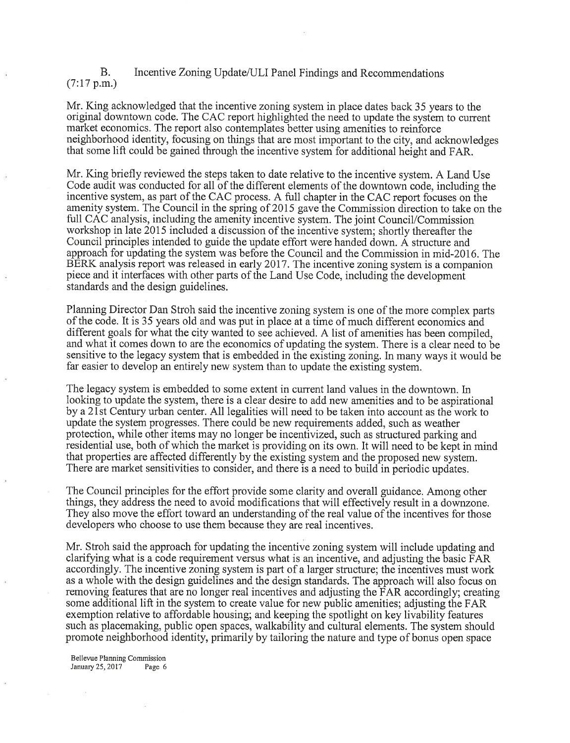## B.  $(7:17 \text{ p.m.})$ Incentive Zoning Update/ULI Panel Findings and Recommendations

Mr. King acknowledged that the incentive zoning system in place dates back 35 years to the original downtown code. The CAC report highlighted the need to update the system to current market economics. The report also contemplates better using amenities to reinforce neighborhood identity, focusing on things that are most important to the city, and acknowledges that some lift could be gained through the incentive system for additional height and FAR.

Mr. King briefly reviewed the steps taken to date relative to the incentive system. A Land Use Code audit was conducted for all of the different elements of the downtown code, including the incentive system, as part of the CAC process. A full chapter in the CAC report focuses on the amenity system. The Council in the spring of 2015 gave the Commission direction to take on the full CAC analysis, including the amenity incentive system. The joint Council/Commission workshop in late 2015 included a discussion of the incentive system; shortly thereafter the Council principles intended to guide the update effort were handed down. A structure and approach for updating the system was before the Council and the Commission in mid-2016. The BERK analysis report was released in early 2017. The incentive zoning system is a companion piece and it interfaces with other parts of the Land Use Code, including the development standards and the design guidelines.

Planning Director Dan Stroh said the incentive zoning system is one of the more complex parts of the code. It is 35 years old and was put in place at a time of much different economics and different goals for what the city wanted to see achieved. A list of amenities has been compiled, and what it comes down to are the economics of updating the system. There is a clear need to be sensitive to the legacy system that is embedded in the existing zoning. ln many ways it would be far easier to develop an entirely new system than to update the existing system.

The legacy system is embedded to some extent in current land values in the downtown. In looking to update the system, there is a clear desire to add new amenities and to be aspirational by a2lst Century urban center. All legalities will need to be taken into account as the work to update the system progresses. There could be new requirements added, such as weather protection, while other items may no longer be incentivized, such as structured parking and residential use, both of which the market is providing on its own. It will need to be kept in mind that properties are affected differently by the existing system and the proposed new system. There are market sensitivities to consider, and there is a need to build in periodic updates.

The Council principles for the effort provide some clarity and overall guidance. Among other things, they address the need to avoid modifications that will effectively result in a downzone. They also move the effort toward an understanding of the real value of the incentives for those developers who choose to use them because they are real incentives.

Mr. Stroh said the approach for updating the incentive zoning system will include updating and clarifying what is a code requirement versus what is an incentive, and adjusting the basic FAR accordingly. The incentive zoning system is part of a larger structure; the incentives must work as a whole with the design guidelines and the design standards. The approach will also focus on removing features that are no longer real incentives and adjusting the FAR accordingly; creating some additional lift in the system to create value for new public amenities; adjusting the FAR exemption relative to affordable housing; and keeping the spotlight on key livability features such as placemaking, public open spaces, walkability and cultural elements. The system should promote neighborhood identity, primarily by tailoring the nature and type of bonus open space

Bellewe Planning Commission January25,20l7 Page 6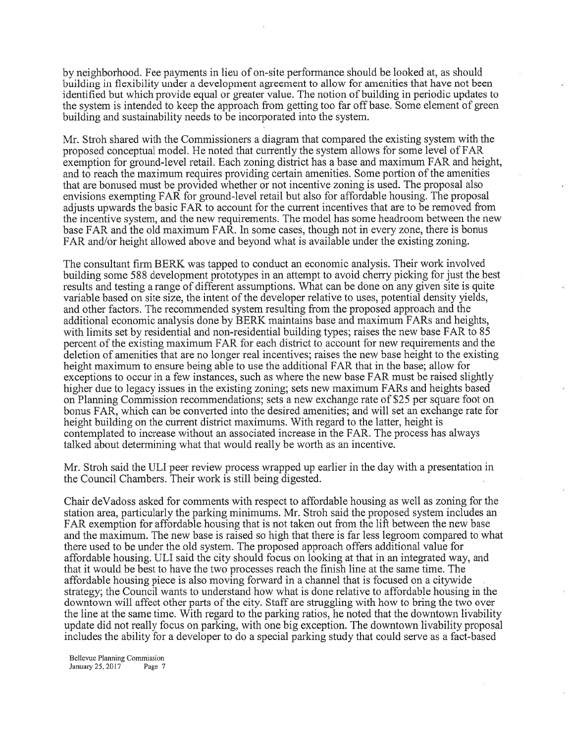by neighborhood. Fee payments in lieu of on-site performance should be looked at, as should building in flexibility under a development agreement to allow for amenities that have not been identified but which provide equal or greater value. The notion of building in periodic updates to the system is intended to keep the approach from getting too far off base. Some element of green building and sustainability needs to be incorporated into the system.

Mr. Stroh shared with the Commissioners a diagram that compared the existing system with the proposed conceptual model. He noted that currently the system allows for some level of FAR exemption for ground-level retail. Each zoning district has a base and maximum FAR and height, and to reach the maximum requires providing certain amenities. Some portion of the amenities that are bonused must be provided whether or not incentive zoningis used. The proposal also envisions exempting FAR for ground-level retail but also for affordable housing. The proposal adjusts upwards the basic FAR to account for the current incentives that are to be removed from the incentive system, and the new requirements. The model has some headroom between the new base FAR and the old maximum FAR. In some cases, though not in every zone, there is bonus FAR and/or height allowed above and beyond what is available under the existing zoning.

The consultant firm BERK was tapped to conduct an economic analysis. Their work involved building some 588 development prototypes in an attempt to avoid cherry picking for just the best results and testing a range of different assumptions. What can be done on any given site is quite variable based on site size, the intent of the developer relative to uses, potential density yields, and other factors. The recommended system resulting from the proposed approach and the additional economic analysis done by BERK maintains base and maximum FARs and heights, with limits set by residential and non-residential building types; raises the new base FAR to <sup>85</sup> percent of the existing maximum FAR for each district to account for new requirements and the deletion of amenities that are no longer real incentives; raises the new base height to the existing height maximum to ensure being able to use the additional FAR that in the base; allow for exceptions to occur in a few instances, such as where the new base FAR must be raised slightly higher due to legacy issues in the existing zoning; sets new maximum FARs and heights based on Planning Commission recommendations; sets a new exchange rate of \$25 per square foot on bonus FAR, which can be converted into the desired amenities; and will set an exchange rate for height building on the current district maximums. With regard to the latter, height is contemplated to increase without an associated increase in the FAR. The process has always talked about determining what that would really be worth as an incentive.

Mr. Stroh said the ULI peer review process wrapped up earlier in the day with a presentation in the Council Chambers. Their work is still being digested.

Chair deVadoss asked for comments with respect to affordable housing as well as zoning for the station area, particularly the parking minimums. Mr. Stroh said the proposed system includes an FAR exemption for affordable housing that is not taken out from the lift between the new base and the maximum. The new base is raised so high that there is far less legroom compared to what there used to be under the old system. The proposed approach offers additional value for affordable housing. ULI said the city should focus on looking at that in an integrated way, and that it would be best to have the two processes reach the finish line at the same time. The affordable housing piece is also moving forward in a channel that is focused on a citywide strategy; the Council wants to understand how what is done relative to affordable housing in the downtown will affect other parts of the city. Staff are struggling with how to bring the two over the line at the same time. With regard to the parking ratios, he noted that the downtown livability update did not really focus on parking, with one big exception. The downtown livability proposal includes the ability for a developer to do a special parking study that could serve as a fact-based

Bellevue Planning Commission January 25, 2017 Page 7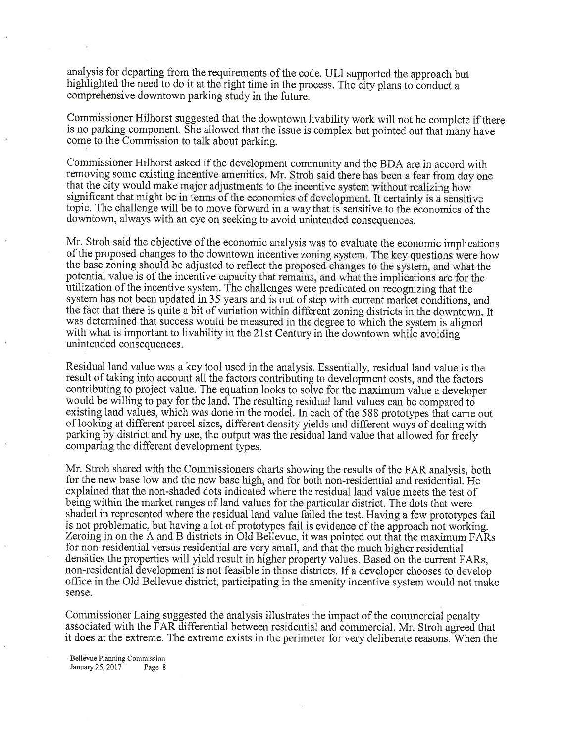analysis for departing from the requirements of the code. ULI supported the approach but highlighted the need to do it at the right time in the process. The city plans to conduct a comprehensive downtown parking study in the future.

Commissioner Hilhorst suggested that the downtown livability work will not be complete if there is no parking component. She allowed that the issue is complex but pointed out that many have come to the Commission to talk about parking.

Commissioner Hilhorst asked if the development community and the BDA are in accord with removing some existing incentive amenities. Mr. Stroh said there has been a fear from day one that the city would make major adjustments to the incentive system without realizing how significant that might be in terms of the economics of development. It certainly is a sensitive topic. The challenge will be to move forward in a way that is sensitive to the economics of the downtown, always with an eye on seeking to avoid unintended consequences.

Mr. Stroh said the objective of the economic analysis was to evaluate the economic implications of the proposed changes to the downtown incentive zoning system. The key questions were how the base zoning should be adjusted to reflect the proposed changes to the system, and what the potential value is of the incentive capacity that remains, and what the implications are for the utilization of the incentive system. The challenges were predicated on recognizing that the system has not been updated in 35 years and is out of step with current market conditions, and the fact that there is quite a bit of variation within different zoning districts in the downtown. It was determined that success would be measured in the degree to which the system is aligned with what is important to livability in the 21st Century in the downtown while avoiding unintended consequences.

Residual land value was a key tool used in the analysis. Essentially, residual land value is the result of taking into account all the factors contributing to development costs, and the factors contributing to project value. The equation looks to solve for the maximum value a developer would be willing to pay for the land. The resulting residual land values can be compared to existing land values, which was done in the model. In each of the 588 prototypes that came out of looking at different parcel sizes, different density yields and different ways of dealing with parking by district and by use, the output was the residual land value that allowed for freely comparing the different development types.

Mr. Stroh shared with the Commissioners charts showing the results of the FAR analysis, both for the new base low and the new base high, and for both non-residential and resideniial. He explained that the non-shaded dots indicated where the residual land value meets the test of being within the market ranges of land values for the particular district. The dots that were shaded in represented where the residual land value failed the test. Having a few prototypes fail is not problematic, but having a lot of prototypes fail is evidence of the approach not working. Zeroing in on the A and B districts in Old Bellevue, it was pointed out that the maximum FARs for non-residential versus residential are very small, and that the much higher residential densities the properties will yield result in higher property values. Based on the current FARs, non-residential development is not feasible in those districts. If a developer chooses to develop office in the Old Bellevue district, participating in the amenity incentive system would not make sense.

Commissioner Laing suggested the analysis illustrates the impact of the commercial penalty associated with the FAR differential between residential and commercial. Mr. Stroh agreed that it does at the extreme. The extreme exists in the perimeter for very deliberate reasons. When the

Bellevue Planning Commission January  $25,2017$  Page 8